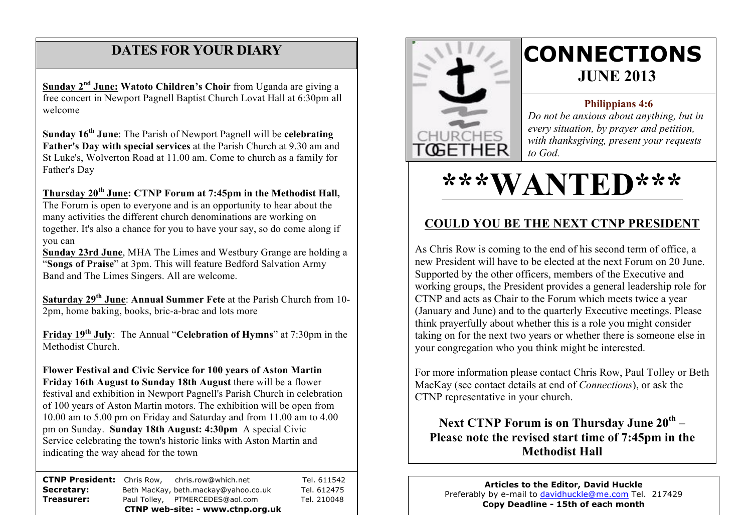# **DATES FOR YOUR DIARY**

 welcome **Sunday 2nd June: Watoto Children's Choir** from Uganda are giving a free concert in Newport Pagnell Baptist Church Lovat Hall at 6:30pm all

**Sunday 16th June**: The Parish of Newport Pagnell will be **celebrating Father's Day with special services** at the Parish Church at 9.30 am and St Luke's, Wolverton Road at 11.00 am. Come to church as a family for Father's Day

#### **Thursday 20th June: CTNP Forum at 7:45pm in the Methodist Hall,**

The Forum is open to everyone and is an opportunity to hear about the many activities the different church denominations are working on together. It's also a chance for you to have your say, so do come along if you can

**Sunday 23rd June**, MHA The Limes and Westbury Grange are holding a "**Songs of Praise**" at 3pm. This will feature Bedford Salvation Army Band and The Limes Singers. All are welcome.

**Saturday 29th June**: **Annual Summer Fete** at the Parish Church from 10- 2pm, home baking, books, bric-a-brac and lots more

**Friday 19th July**: The Annual "**Celebration of Hymns**" at 7:30pm in the Methodist Church.

**Flower Festival and Civic Service for 100 years of Aston Martin Friday 16th August to Sunday 18th August** there will be a flower festival and exhibition in Newport Pagnell's Parish Church in celebration of 100 years of Aston Martin motors. The exhibition will be open from 10.00 am to 5.00 pm on Friday and Saturday and from 11.00 am to 4.00 pm on Sunday. **Sunday 18th August: 4:30pm** A special Civic Service celebrating the town's historic links with Aston Martin and indicating the way ahead for the town

**CTNP President:** Chris Row, chris.row@which.net Tel. 611542 **Secretary:** Beth MacKay, beth.mackay@yahoo.co.uk Tel. 612475 **Treasurer:** Paul Tolley, PTMERCEDES@aol.com Tel. 210048 **CTNP web-site: - www.ctnp.org.uk**



# **CONNECTIONS JUNE 2013**

#### **Philippians 4:6**

*Do not be anxious about anything, but in every situation, by prayer and petition, with thanksgiving, present your requests to God.*

# **\*\*\*WANTED\*\*\***

# **COULD YOU BE THE NEXT CTNP PRESIDENT**

As Chris Row is coming to the end of his second term of office, a new President will have to be elected at the next Forum on 20 June. Supported by the other officers, members of the Executive and working groups, the President provides a general leadership role for CTNP and acts as Chair to the Forum which meets twice a year (January and June) and to the quarterly Executive meetings. Please think prayerfully about whether this is a role you might consider taking on for the next two years or whether there is someone else in your congregation who you think might be interested.

For more information please contact Chris Row, Paul Tolley or Beth MacKay (see contact details at end of *Connections*), or ask the CTNP representative in your church.

## **Next CTNP Forum is on Thursday June 20th – Please note the revised start time of 7:45pm in the Methodist Hall**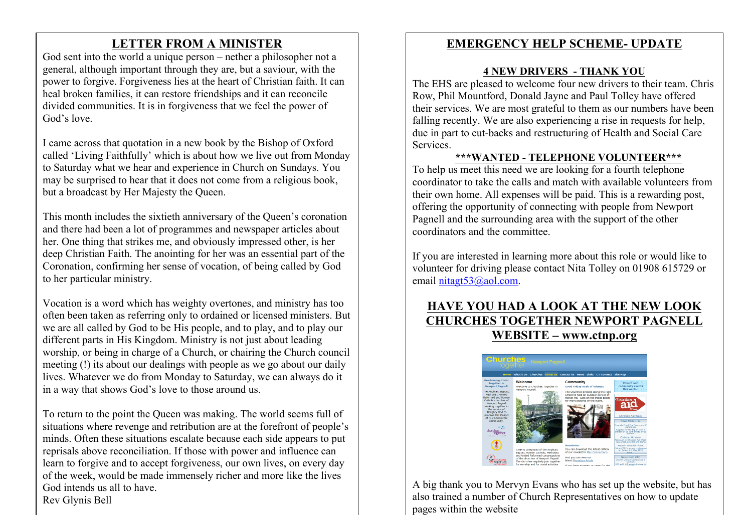# **LETTER FROM A MINISTER**

God sent into the world a unique person – nether a philosopher not a general, although important through they are, but a saviour, with the power to forgive. Forgiveness lies at the heart of Christian faith. It can heal broken families, it can restore friendships and it can reconcile divided communities. It is in forgiveness that we feel the power of God's love.

I came across that quotation in a new book by the Bishop of Oxford called 'Living Faithfully' which is about how we live out from Monday to Saturday what we hear and experience in Church on Sundays. You may be surprised to hear that it does not come from a religious book, but a broadcast by Her Majesty the Queen.

This month includes the sixtieth anniversary of the Queen's coronation and there had been a lot of programmes and newspaper articles about her. One thing that strikes me, and obviously impressed other, is her deep Christian Faith. The anointing for her was an essential part of the Coronation, confirming her sense of vocation, of being called by God to her particular ministry.

Vocation is a word which has weighty overtones, and ministry has too often been taken as referring only to ordained or licensed ministers. But we are all called by God to be His people, and to play, and to play our different parts in His Kingdom. Ministry is not just about leading worship, or being in charge of a Church, or chairing the Church council meeting (!) its about our dealings with people as we go about our daily lives. Whatever we do from Monday to Saturday, we can always do it in a way that shows God's love to those around us.

To return to the point the Queen was making. The world seems full of situations where revenge and retribution are at the forefront of people's minds. Often these situations escalate because each side appears to put reprisals above reconciliation. If those with power and influence can learn to forgive and to accept forgiveness, our own lives, on every day of the week, would be made immensely richer and more like the lives God intends us all to have. Rev Glynis Bell

# **EMERGENCY HELP SCHEME- UPDATE**

#### **4 NEW DRIVERS - THANK YOU**

The EHS are pleased to welcome four new drivers to their team. Chris Row, Phil Mountford, Donald Jayne and Paul Tolley have offered their services. We are most grateful to them as our numbers have been falling recently. We are also experiencing a rise in requests for help, due in part to cut-backs and restructuring of Health and Social Care **Services** 

#### **\*\*\*WANTED - TELEPHONE VOLUNTEER\*\*\***

To help us meet this need we are looking for a fourth telephone coordinator to take the calls and match with available volunteers from their own home. All expenses will be paid. This is a rewarding post, offering the opportunity of connecting with people from Newport Pagnell and the surrounding area with the support of the other coordinators and the committee.

If you are interested in learning more about this role or would like to volunteer for driving please contact Nita Tolley on 01908 615729 or email nitagt53@aol.com.

## **HAVE YOU HAD A LOOK AT THE NEW LOOK CHURCHES TOGETHER NEWPORT PAGNELL WEBSITE – www.ctnp.org**



A big thank you to Mervyn Evans who has set up the website, but has also trained a number of Church Representatives on how to update pages within the website